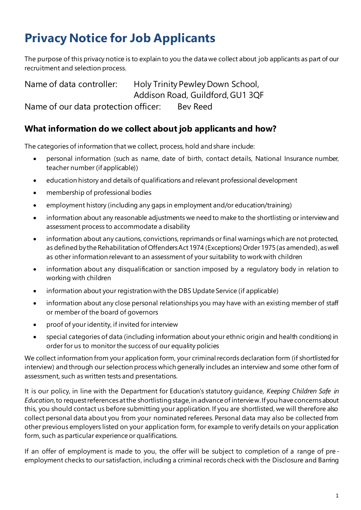# **Privacy Notice for Job Applicants**

The purpose of this privacy notice is to explain to you the data we collect about job applicants as part of our recruitment and selection process.

Name of data controller: Holy Trinity Pewley Down School, Addison Road, Guildford, GU1 3QF Name of our data protection officer: Bev Reed

#### **What information do we collect about job applicants and how?**

The categories of information that we collect, process, hold and share include:

- personal information (such as name, date of birth, contact details, National Insurance number, teacher number (if applicable))
- education history and details of qualifications and relevant professional development
- membership of professional bodies
- employment history (including any gaps in employment and/or education/training)
- information about any reasonable adjustments we need to make to the shortlisting or interview and assessment process to accommodate a disability
- information about any cautions, convictions, reprimands or final warnings which are not protected, as defined by the Rehabilitation of Offenders Act 1974 (Exceptions) Order 1975 (as amended), as well as other information relevant to an assessment of your suitability to work with children
- information about any disqualification or sanction imposed by a regulatory body in relation to working with children
- information about your registration with the DBS Update Service (if applicable)
- information about any close personal relationships you may have with an existing member of staff or member of the board of governors
- proof of your identity, if invited for interview
- special categories of data (including information about your ethnic origin and health conditions) in order for us to monitor the success of our equality policies

We collect information from your application form, your criminal records declaration form (if shortlisted for interview) and through our selection process which generally includes an interview and some other form of assessment, such as written tests and presentations.

It is our policy, in line with the Department for Education's statutory guidance, *Keeping Children Safe in Education*, to request references at the shortlisting stage, in advance of interview. If you have concerns about this, you should contact us before submitting your application. If you are shortlisted, we will therefore also collect personal data about you from your nominated referees. Personal data may also be collected from other previous employers listed on your application form, for example to verify details on your application form, such as particular experience or qualifications.

If an offer of employment is made to you, the offer will be subject to completion of a range of pre employment checks to our satisfaction, including a criminal records check with the Disclosure and Barring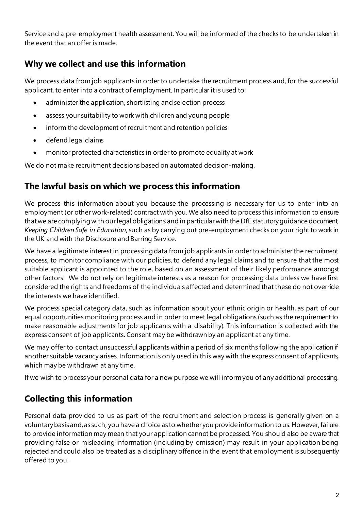Service and a pre-employment health assessment. You will be informed of the checks to be undertaken in the event that an offer is made.

## **Why we collect and use this information**

We process data from job applicants in order to undertake the recruitment process and, for the successful applicant, to enter into a contract of employment. In particular it is used to:

- administer the application, shortlisting and selection process
- assess your suitability to work with children and young people
- inform the development of recruitment and retention policies
- defend legal claims
- monitor protected characteristics in order to promote equality at work

We do not make recruitment decisions based on automated decision-making.

### **The lawful basis on which we process this information**

We process this information about you because the processing is necessary for us to enter into an employment (or other work-related) contract with you. We also need to process this information to ensure that we are complying with our legal obligations and in particularwith the DfE statutory guidance document, *Keeping Children Safe in Education*, such as by carrying out pre-employment checks on your right to work in the UK and with the Disclosure and Barring Service.

We have a legitimate interest in processing data from job applicants in order to administer the recruitment process, to monitor compliance with our policies, to defend any legal claims and to ensure that the most suitable applicant is appointed to the role, based on an assessment of their likely performance amongst other factors. We do not rely on legitimate interests as a reason for processing data unless we have first considered the rights and freedoms of the individuals affected and determined that these do not override the interests we have identified.

We process special category data, such as information about your ethnic origin or health, as part of our equal opportunities monitoring process and in order to meet legal obligations (such as the requirement to make reasonable adjustments for job applicants with a disability). This information is collected with the express consent of job applicants. Consent may be withdrawn by an applicant at any time.

We may offer to contact unsuccessful applicants within a period of six months following the application if another suitable vacancy arises. Information is only used in this way with the express consent of applicants, which may be withdrawn at any time.

If we wish to process your personal data for a new purpose we will inform you of any additional processing.

## **Collecting this information**

Personal data provided to us as part of the recruitment and selection process is generally given on a voluntary basis and, as such, you have a choice as to whether you provide information to us. However, failure to provide information may mean that your application cannot be processed. You should also be aware that providing false or misleading information (including by omission) may result in your application being rejected and could also be treated as a disciplinary offence in the event that employment is subsequently offered to you.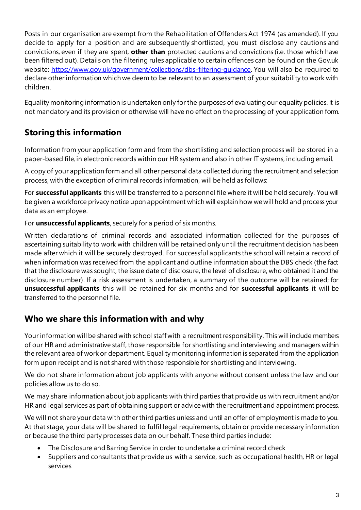Posts in our organisation are exempt from the Rehabilitation of Offenders Act 1974 (as amended). If you decide to apply for a position and are subsequently shortlisted, you must disclose any cautions and convictions, even if they are spent, **other than** protected cautions and convictions (i.e. those which have been filtered out). Details on the filtering rules applicable to certain offences can be found on the Gov.uk website: https://www.gov.uk/government/collections/dbs-filtering-guidance. You will also be required to declare other information which we deem to be relevant to an assessment of your suitability to work with children.

Equality monitoring information is undertaken only for the purposes of evaluating our equality policies. It is not mandatory and its provision or otherwise will have no effect on the processing of your application form.

## **Storing this information**

Information from your application form and from the shortlisting and selection process will be stored in a paper-based file, in electronic records within our HR system and also in other IT systems, including email.

A copy of your application form and all other personal data collected during the recruitment and selection process, with the exception of criminal records information, will be held as follows:

For **successful applicants** this will be transferred to a personnel file where it will be held securely. You will be given a workforce privacy notice upon appointment which will explain how we will hold and process your data as an employee.

For **unsuccessful applicants**, securely for a period of six months.

Written declarations of criminal records and associated information collected for the purposes of ascertaining suitability to work with children will be retained only until the recruitment decision has been made after which it will be securely destroyed. For successful applicants the school will retain a record of when information was received from the applicant and outline information about the DBS check (the fact that the disclosure was sought, the issue date of disclosure, the level of disclosure, who obtained it and the disclosure number). If a risk assessment is undertaken, a summary of the outcome will be retained; for **unsuccessful applicants** this will be retained for six months and for **successful applicants** it will be transferred to the personnel file.

## **Who we share this information with and why**

Your information will be shared with school staff with a recruitment responsibility. This will include members of our HR and administrative staff, those responsible for shortlisting and interviewing and managers within the relevant area of work or department. Equality monitoring information is separated from the application form upon receipt and is not shared with those responsible for shortlisting and interviewing.

We do not share information about job applicants with anyone without consent unless the law and our policies allow us to do so.

We may share information about job applicants with third parties that provide us with recruitment and/or HR and legal services as part of obtaining support or advice with the recruitment and appointment process.

We will not share your data with other third parties unless and until an offer of employment is made to you. At that stage, your data will be shared to fulfil legal requirements, obtain or provide necessary information or because the third party processes data on our behalf. These third parties include:

- The Disclosure and Barring Service in order to undertake a criminal record check
- Suppliers and consultants that provide us with a service, such as occupational health, HR or legal services